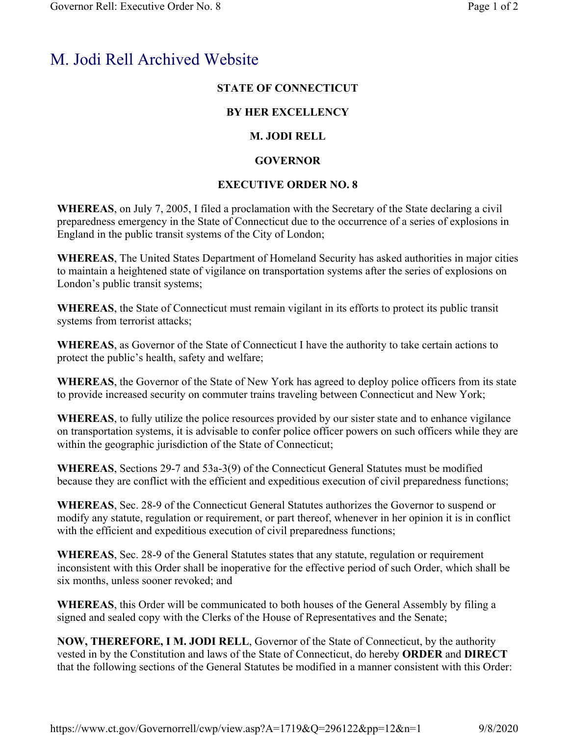# M. Jodi Rell Archived Website

### **STATE OF CONNECTICUT**

### **BY HER EXCELLENCY**

## **M. JODI RELL**

## **GOVERNOR**

## **EXECUTIVE ORDER NO. 8**

**WHEREAS**, on July 7, 2005, I filed a proclamation with the Secretary of the State declaring a civil preparedness emergency in the State of Connecticut due to the occurrence of a series of explosions in England in the public transit systems of the City of London;

**WHEREAS**, The United States Department of Homeland Security has asked authorities in major cities to maintain a heightened state of vigilance on transportation systems after the series of explosions on London's public transit systems;

**WHEREAS**, the State of Connecticut must remain vigilant in its efforts to protect its public transit systems from terrorist attacks;

**WHEREAS**, as Governor of the State of Connecticut I have the authority to take certain actions to protect the public's health, safety and welfare;

**WHEREAS**, the Governor of the State of New York has agreed to deploy police officers from its state to provide increased security on commuter trains traveling between Connecticut and New York;

**WHEREAS**, to fully utilize the police resources provided by our sister state and to enhance vigilance on transportation systems, it is advisable to confer police officer powers on such officers while they are within the geographic jurisdiction of the State of Connecticut;

**WHEREAS**, Sections 29-7 and 53a-3(9) of the Connecticut General Statutes must be modified because they are conflict with the efficient and expeditious execution of civil preparedness functions;

**WHEREAS**, Sec. 28-9 of the Connecticut General Statutes authorizes the Governor to suspend or modify any statute, regulation or requirement, or part thereof, whenever in her opinion it is in conflict with the efficient and expeditious execution of civil preparedness functions;

**WHEREAS**, Sec. 28-9 of the General Statutes states that any statute, regulation or requirement inconsistent with this Order shall be inoperative for the effective period of such Order, which shall be six months, unless sooner revoked; and

**WHEREAS**, this Order will be communicated to both houses of the General Assembly by filing a signed and sealed copy with the Clerks of the House of Representatives and the Senate;

**NOW, THEREFORE, I M. JODI RELL**, Governor of the State of Connecticut, by the authority vested in by the Constitution and laws of the State of Connecticut, do hereby **ORDER** and **DIRECT** that the following sections of the General Statutes be modified in a manner consistent with this Order: